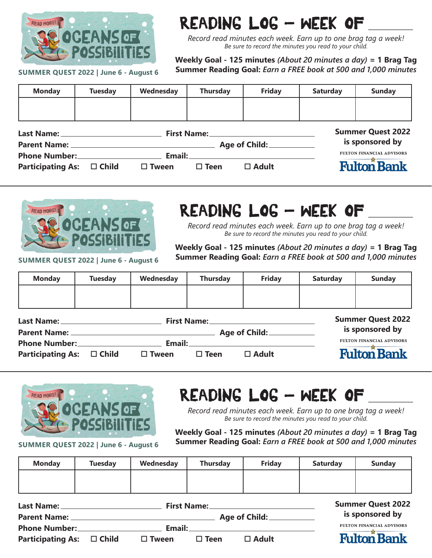

## READING LOG - WEEK OF

*Record read minutes each week. Earn up to one brag tag a week! Be sure to record the minutes you read to your child.*

**Weekly Goal - 125 minutes** *(About 20 minutes a day)* **= 1 Brag Tag Summer Reading Goal:** *Earn a FREE book at 500 and 1,000 minutes*

**SUMMER QUEST 2022 | June 6 - August 6**

| <b>Monday</b>                        | <b>Tuesday</b> | Wednesday    | <b>Thursday</b> | <b>Friday</b>                        | <b>Saturday</b> | <b>Sunday</b>                    |
|--------------------------------------|----------------|--------------|-----------------|--------------------------------------|-----------------|----------------------------------|
|                                      |                |              |                 |                                      |                 |                                  |
|                                      |                |              |                 |                                      |                 |                                  |
| Last Name: _________________________ |                |              |                 | <b>Summer Quest 2022</b>             |                 |                                  |
|                                      |                |              |                 | Age of Child: <u>_______________</u> |                 | is sponsored by                  |
| Phone Number:_________________       |                |              |                 |                                      |                 | <b>FULTON FINANCIAL ADVISORS</b> |
| <b>Participating As:</b>             | $\Box$ Child   | $\Box$ Tween | $\square$ Teen  | $\Box$ Adult                         |                 | <b>Fulton Bank</b>               |



## READING LOG - WEEK OF

*Record read minutes each week. Earn up to one brag tag a week! Be sure to record the minutes you read to your child.*

**SUMMER QUEST 2022 | June 6 - August 6**

**Weekly Goal - 125 minutes** *(About 20 minutes a day)* **= 1 Brag Tag Summer Reading Goal:** *Earn a FREE book at 500 and 1,000 minutes*

| <b>Monday</b> | <b>Tuesday</b> | Wednesday | <b>Thursday</b> | Friday | <b>Saturday</b> | <b>Sunday</b> |
|---------------|----------------|-----------|-----------------|--------|-----------------|---------------|
|               |                |           |                 |        |                 |               |
|               |                |           |                 |        |                 |               |

| Last Name: _                   |  | <b>First Name:</b>                                                                                                    |             |                           | <b>Summer Quest 2022</b>         |  |
|--------------------------------|--|-----------------------------------------------------------------------------------------------------------------------|-------------|---------------------------|----------------------------------|--|
| Parent Name: _                 |  | <u> 1989 - Johann Stoff, deutscher Stoff, der Stoff, der Stoff, der Stoff, der Stoff, der Stoff, der Stoff, der S</u> |             | Age of Child:____________ | is sponsored by                  |  |
| <b>Phone Number:</b>           |  | Email:                                                                                                                |             |                           | <b>FULTON FINANCIAL ADVISORS</b> |  |
| Participating As: $\Box$ Child |  | $\Box$ Tween                                                                                                          | $\Box$ Teen | $\Box$ Adult              | <b>Fulton Bank</b>               |  |



**SUMMER QUEST 2022 | June 6 - August 6**

## READING LOG - WEEK OF

*Record read minutes each week. Earn up to one brag tag a week! Be sure to record the minutes you read to your child.*

**Weekly Goal - 125 minutes** *(About 20 minutes a day)* **= 1 Brag Tag Summer Reading Goal:** *Earn a FREE book at 500 and 1,000 minutes*

| <b>Monday</b> | <b>Tuesday</b> | Wednesday | <b>Thursday</b> | <b>Friday</b> | <b>Saturday</b> | Sunday                                                                                                                                                                                                                                                     |
|---------------|----------------|-----------|-----------------|---------------|-----------------|------------------------------------------------------------------------------------------------------------------------------------------------------------------------------------------------------------------------------------------------------------|
|               |                |           |                 |               |                 |                                                                                                                                                                                                                                                            |
|               |                |           |                 |               |                 |                                                                                                                                                                                                                                                            |
| .             |                |           |                 |               |                 | $C_{11}$ $C_{21}$ $C_{31}$ $C_{41}$ $C_{41}$ $C_{41}$ $C_{41}$ $C_{41}$ $C_{41}$ $C_{41}$ $C_{41}$ $C_{41}$ $C_{41}$ $C_{41}$ $C_{41}$ $C_{41}$ $C_{41}$ $C_{41}$ $C_{41}$ $C_{41}$ $C_{41}$ $C_{41}$ $C_{41}$ $C_{41}$ $C_{41}$ $C_{41}$ $C_{41}$ $C_{41$ |

| Last Name:                     | <b>First Name:</b> |              | <b>Summer Quest 2022</b> |                 |                                  |
|--------------------------------|--------------------|--------------|--------------------------|-----------------|----------------------------------|
| <b>Parent Name:</b>            |                    |              | Age of Child:            | is sponsored by |                                  |
| <b>Phone Number:</b>           |                    | Email:       |                          |                 | <b>FULTON FINANCIAL ADVISORS</b> |
| Participating As: $\Box$ Child |                    | $\Box$ Tween | $\Box$ Teen              | $\square$ Adult | <b>Fulton Bank</b>               |